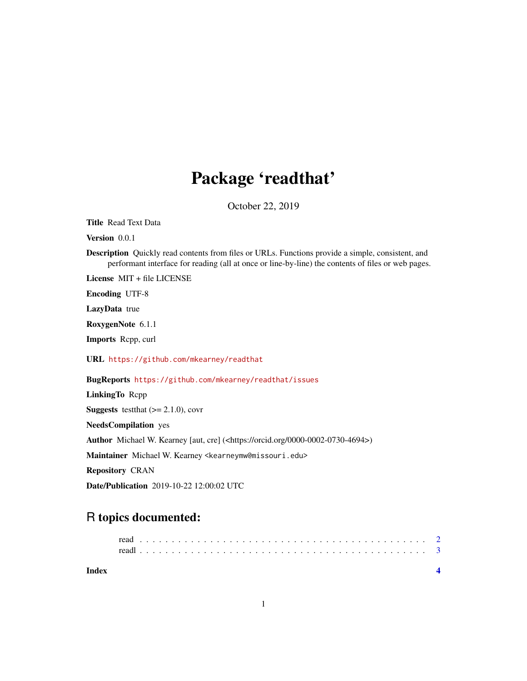## Package 'readthat'

October 22, 2019

Title Read Text Data

Version 0.0.1

Description Quickly read contents from files or URLs. Functions provide a simple, consistent, and performant interface for reading (all at once or line-by-line) the contents of files or web pages.

License MIT + file LICENSE

Encoding UTF-8

LazyData true

RoxygenNote 6.1.1

Imports Rcpp, curl

URL <https://github.com/mkearney/readthat>

#### BugReports <https://github.com/mkearney/readthat/issues>

LinkingTo Rcpp

**Suggests** test that  $(>= 2.1.0)$ , covr

NeedsCompilation yes

Author Michael W. Kearney [aut, cre] (<https://orcid.org/0000-0002-0730-4694>)

Maintainer Michael W. Kearney <kearneymw@missouri.edu>

Repository CRAN

Date/Publication 2019-10-22 12:00:02 UTC

### R topics documented:

| read |  |  |  |  |  |  |  |  |  |  |  |  |  |  |  |  |  |  |  |  |  |  |
|------|--|--|--|--|--|--|--|--|--|--|--|--|--|--|--|--|--|--|--|--|--|--|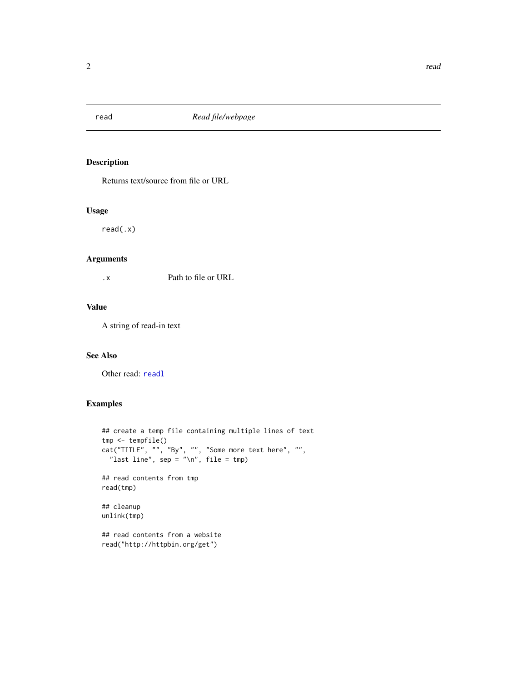<span id="page-1-1"></span><span id="page-1-0"></span>

#### Description

Returns text/source from file or URL

#### Usage

read(.x)

#### Arguments

.x Path to file or URL

#### Value

A string of read-in text

#### See Also

Other read: [readl](#page-2-1)

#### Examples

```
## create a temp file containing multiple lines of text
tmp <- tempfile()
cat("TITLE", "", "By", "", "Some more text here", "",
  "last line", sep = "\n", file = tmp)## read contents from tmp
read(tmp)
## cleanup
unlink(tmp)
## read contents from a website
read("http://httpbin.org/get")
```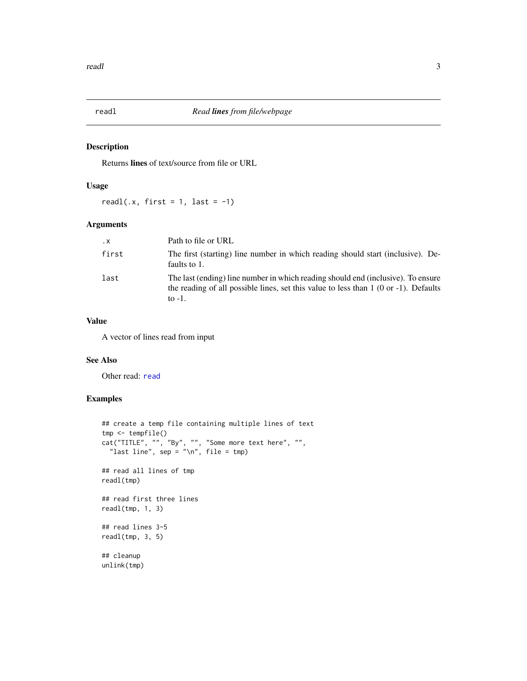<span id="page-2-1"></span><span id="page-2-0"></span>

#### Description

Returns lines of text/source from file or URL

#### Usage

readl(.x, first = 1, last =  $-1$ )

#### Arguments

| $\cdot$ X | Path to file or URL                                                                                                                                                                     |
|-----------|-----------------------------------------------------------------------------------------------------------------------------------------------------------------------------------------|
| first     | The first (starting) line number in which reading should start (inclusive). De-<br>faults to 1.                                                                                         |
| last      | The last (ending) line number in which reading should end (inclusive). To ensure<br>the reading of all possible lines, set this value to less than $1$ (0 or -1). Defaults<br>to $-1$ . |

#### Value

A vector of lines read from input

#### See Also

Other [read](#page-1-1): read

#### Examples

```
## create a temp file containing multiple lines of text
tmp <- tempfile()
cat("TITLE", "", "By", "", "Some more text here", "",
  "last line", \text{sep} = \text{"n", file = tmp}## read all lines of tmp
readl(tmp)
## read first three lines
readl(tmp, 1, 3)
## read lines 3-5
readl(tmp, 3, 5)
## cleanup
unlink(tmp)
```